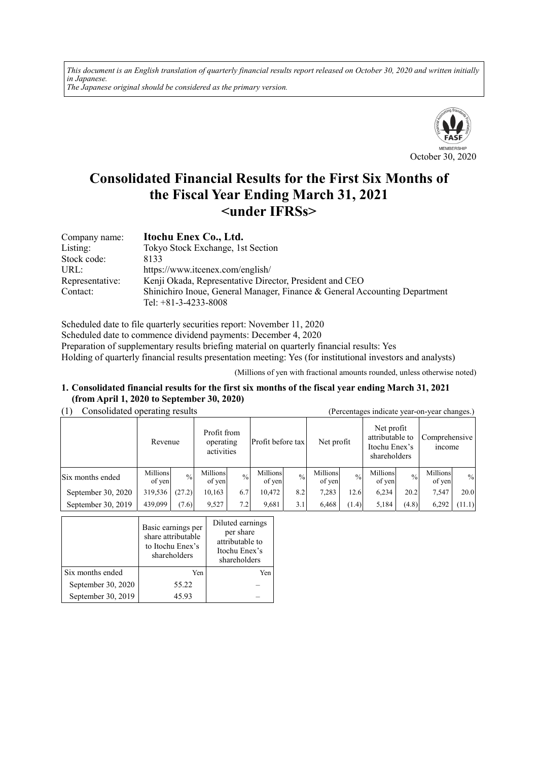*This document is an English translation of quarterly financial results report released on October 30, 2020 and written initially in Japanese. The Japanese original should be considered as the primary version.*



# **Consolidated Financial Results for the First Six Months of the Fiscal Year Ending March 31, 2021 <under IFRSs>**

| Company name:   | Itochu Enex Co., Ltd.                                                      |
|-----------------|----------------------------------------------------------------------------|
| Listing:        | Tokyo Stock Exchange, 1st Section                                          |
| Stock code:     | 8133                                                                       |
| URL:            | https://www.itcenex.com/english/                                           |
| Representative: | Kenji Okada, Representative Director, President and CEO                    |
| Contact:        | Shinichiro Inoue, General Manager, Finance & General Accounting Department |
|                 | Tel: $+81-3-4233-8008$                                                     |

Scheduled date to file quarterly securities report: November 11, 2020 Scheduled date to commence dividend payments: December 4, 2020 Preparation of supplementary results briefing material on quarterly financial results: Yes Holding of quarterly financial results presentation meeting: Yes (for institutional investors and analysts)

(Millions of yen with fractional amounts rounded, unless otherwise noted)

#### **1. Consolidated financial results for the first six months of the fiscal year ending March 31, 2021 (from April 1, 2020 to September 30, 2020)**

| Consolidated operating results<br>(1) |                                                   |               |                    |                   |                    |               | (Percentages indicate year-on-year changes.) |                                                                |                    |                                |                    |               |
|---------------------------------------|---------------------------------------------------|---------------|--------------------|-------------------|--------------------|---------------|----------------------------------------------|----------------------------------------------------------------|--------------------|--------------------------------|--------------------|---------------|
|                                       | Profit from<br>operating<br>Revenue<br>activities |               |                    | Profit before tax |                    | Net profit    |                                              | Net profit<br>attributable to<br>Itochu Enex's<br>shareholders |                    | Comprehensive<br><i>n</i> come |                    |               |
| Six months ended                      | Millions<br>of yen                                | $\frac{0}{0}$ | Millions<br>of yen | $\frac{0}{0}$     | Millions<br>of yen | $\frac{0}{0}$ | Millions<br>of yen                           | $\frac{0}{0}$                                                  | Millions<br>of yen | $\frac{0}{0}$                  | Millions<br>of yen | $\frac{0}{0}$ |
| September 30, 2020                    | 319,536                                           | (27.2)        | 10,163             | 6.7               | 10.472             | 8.2           | 7,283                                        | 12.6                                                           | 6,234              | 20.2                           | 7,547              | 20.0          |
| September 30, 2019                    | 439,099                                           | (7.6)         | 9,527              | 7.2               | 9,681              | 3.1           | 6,468                                        | (1.4)                                                          | 5,184              | (4.8)                          | 6,292              | (11.1)        |

|                    | Basic earnings per<br>share attributable<br>to Itochu Enex's<br>shareholders | Diluted earnings<br>per share<br>attributable to<br>Itochu Enex's<br>shareholders |
|--------------------|------------------------------------------------------------------------------|-----------------------------------------------------------------------------------|
| Six months ended   | Yen                                                                          | Yen                                                                               |
| September 30, 2020 | 55.22                                                                        |                                                                                   |
| September 30, 2019 | 45.93                                                                        |                                                                                   |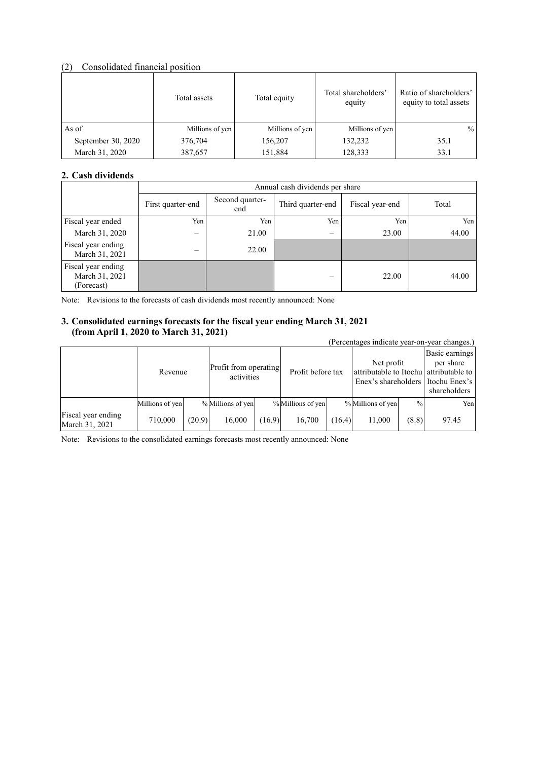#### (2) Consolidated financial position

|                    | Total assets    | Total equity    | Total shareholders'<br>equity | Ratio of shareholders'<br>equity to total assets |
|--------------------|-----------------|-----------------|-------------------------------|--------------------------------------------------|
| As of              | Millions of yen | Millions of yen | Millions of yen               | $\frac{0}{0}$                                    |
| September 30, 2020 | 376,704         | 156,207         | 132,232                       | 35.1                                             |
| March 31, 2020     | 387,657         | 151,884         | 128,333                       | 33.1                                             |

#### **2. Cash dividends**

|                                                    |                   | Annual cash dividends per share |                          |                 |       |  |  |  |  |
|----------------------------------------------------|-------------------|---------------------------------|--------------------------|-----------------|-------|--|--|--|--|
|                                                    | First quarter-end | Second quarter-<br>end          | Third quarter-end        | Fiscal year-end | Total |  |  |  |  |
| Fiscal year ended                                  | Yen               | Yen                             | Yen                      | Yen             | Yen   |  |  |  |  |
| March 31, 2020                                     | $\equiv$          | 21.00                           |                          | 23.00           | 44.00 |  |  |  |  |
| Fiscal year ending<br>March 31, 2021               | -                 | 22.00                           |                          |                 |       |  |  |  |  |
| Fiscal year ending<br>March 31, 2021<br>(Forecast) |                   |                                 | $\overline{\phantom{0}}$ | 22.00           | 44.00 |  |  |  |  |

Note: Revisions to the forecasts of cash dividends most recently announced: None

#### **3. Consolidated earnings forecasts for the fiscal year ending March 31, 2021 (from April 1, 2020 to March 31, 2021)**

| $(11.911111)$ $11.2010000$ $11.1010101$ , $1011001$<br>(Percentages indicate year-on-year changes.) |                 |        |                                     |        |                   |                   |                   |                                                                                             |       |
|-----------------------------------------------------------------------------------------------------|-----------------|--------|-------------------------------------|--------|-------------------|-------------------|-------------------|---------------------------------------------------------------------------------------------|-------|
|                                                                                                     | Revenue         |        | Profit from operating<br>activities |        |                   | Profit before tax |                   | Net profit<br>attributable to Itochu attributable to<br>Enex's shareholders I Itochu Enex's |       |
|                                                                                                     | Millions of yen |        | % Millions of yen                   |        | % Millions of yen |                   | % Millions of yen | $\frac{0}{0}$                                                                               | Yen   |
| Fiscal year ending<br>March 31, 2021                                                                | 710,000         | (20.9) | 16,000                              | (16.9) | 16.700            | (16.4)            | 11,000            | (8.8)                                                                                       | 97.45 |

Note: Revisions to the consolidated earnings forecasts most recently announced: None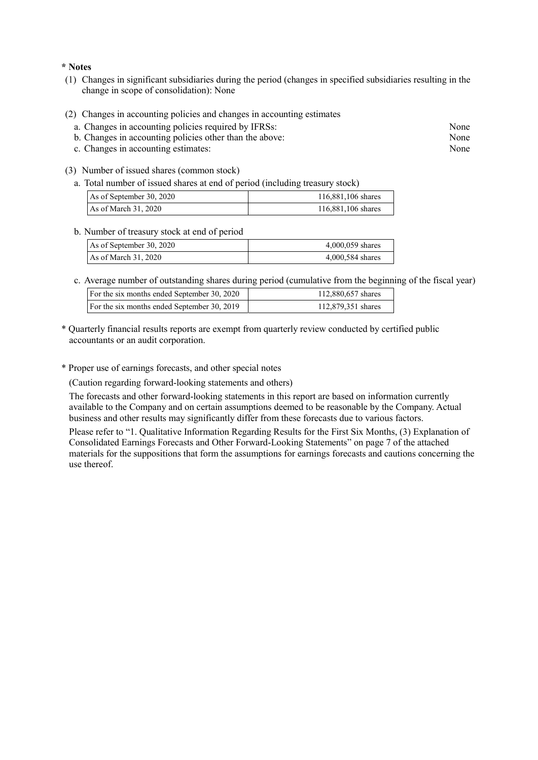#### **\* Notes**

- (1) Changes in significant subsidiaries during the period (changes in specified subsidiaries resulting in the change in scope of consolidation): None
- (2) Changes in accounting policies and changes in accounting estimates
	- a. Changes in accounting policies required by IFRSs: None
	- b. Changes in accounting policies other than the above: None
	- c. Changes in accounting estimates: None
- (3) Number of issued shares (common stock)
	- a. Total number of issued shares at end of period (including treasury stock)

| As of September 30, 2020 | 116,881,106 shares |
|--------------------------|--------------------|
| As of March $31,2020$    | 116,881,106 shares |

#### b. Number of treasury stock at end of period

| As of September 30, 2020 | 4,000,059 shares |
|--------------------------|------------------|
| As of March 31, 2020     | 4,000,584 shares |

c. Average number of outstanding shares during period (cumulative from the beginning of the fiscal year)

| For the six months ended September 30, 2020 | 112,880,657 shares |
|---------------------------------------------|--------------------|
| For the six months ended September 30, 2019 | 112,879,351 shares |

- \* Quarterly financial results reports are exempt from quarterly review conducted by certified public accountants or an audit corporation.
- \* Proper use of earnings forecasts, and other special notes

(Caution regarding forward-looking statements and others)

The forecasts and other forward-looking statements in this report are based on information currently available to the Company and on certain assumptions deemed to be reasonable by the Company. Actual business and other results may significantly differ from these forecasts due to various factors.

Please refer to "1. Qualitative Information Regarding Results for the First Six Months, (3) Explanation of Consolidated Earnings Forecasts and Other Forward-Looking Statements" on page 7 of the attached materials for the suppositions that form the assumptions for earnings forecasts and cautions concerning the use thereof.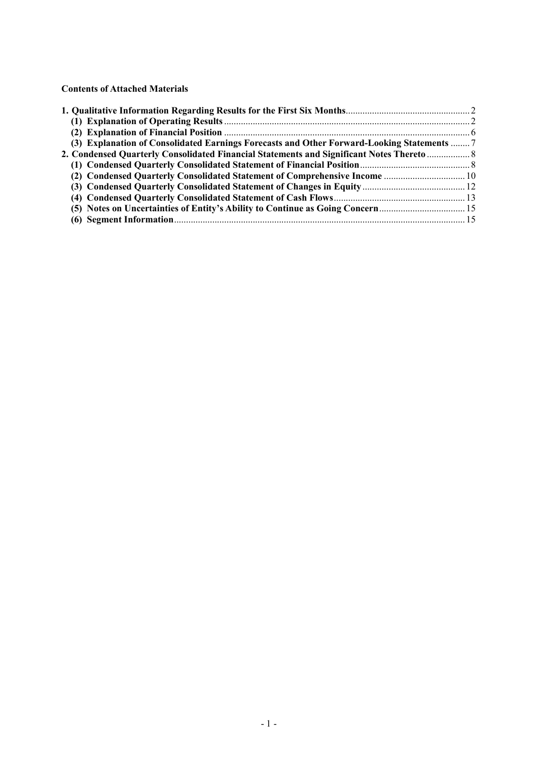**Contents of Attached Materials** 

| (3) Explanation of Consolidated Earnings Forecasts and Other Forward-Looking Statements  7 |  |
|--------------------------------------------------------------------------------------------|--|
| 2. Condensed Quarterly Consolidated Financial Statements and Significant Notes Thereto  8  |  |
|                                                                                            |  |
| (2) Condensed Quarterly Consolidated Statement of Comprehensive Income  10                 |  |
|                                                                                            |  |
|                                                                                            |  |
|                                                                                            |  |
|                                                                                            |  |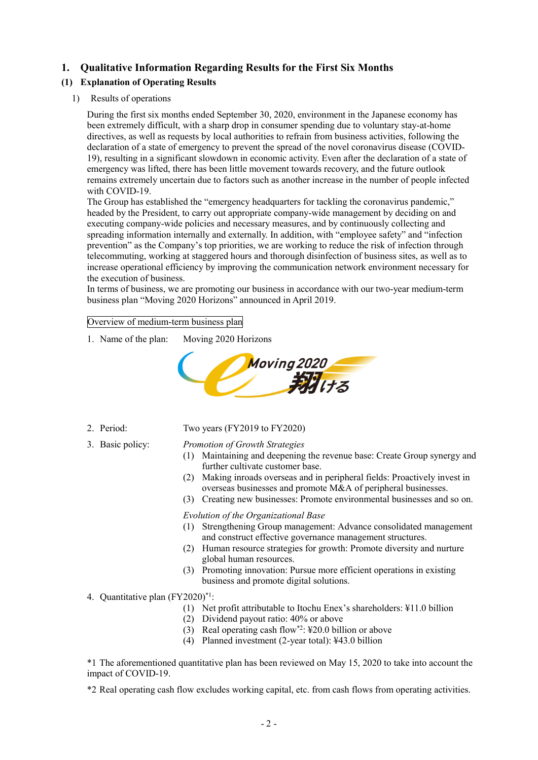### **1. Qualitative Information Regarding Results for the First Six Months**

### **(1) Explanation of Operating Results**

1) Results of operations

During the first six months ended September 30, 2020, environment in the Japanese economy has been extremely difficult, with a sharp drop in consumer spending due to voluntary stay-at-home directives, as well as requests by local authorities to refrain from business activities, following the declaration of a state of emergency to prevent the spread of the novel coronavirus disease (COVID-19), resulting in a significant slowdown in economic activity. Even after the declaration of a state of emergency was lifted, there has been little movement towards recovery, and the future outlook remains extremely uncertain due to factors such as another increase in the number of people infected with COVID-19.

The Group has established the "emergency headquarters for tackling the coronavirus pandemic," headed by the President, to carry out appropriate company-wide management by deciding on and executing company-wide policies and necessary measures, and by continuously collecting and spreading information internally and externally. In addition, with "employee safety" and "infection prevention" as the Company's top priorities, we are working to reduce the risk of infection through telecommuting, working at staggered hours and thorough disinfection of business sites, as well as to increase operational efficiency by improving the communication network environment necessary for the execution of business.

In terms of business, we are promoting our business in accordance with our two-year medium-term business plan "Moving 2020 Horizons" announced in April 2019.

#### Overview of medium-term business plan

1. Name of the plan: Moving 2020 Horizons



- 
- 2. Period: Two years (FY2019 to FY2020)
- 

#### 3. Basic policy: *Promotion of Growth Strategies*

- (1) Maintaining and deepening the revenue base: Create Group synergy and further cultivate customer base.
- (2) Making inroads overseas and in peripheral fields: Proactively invest in overseas businesses and promote M&A of peripheral businesses.
- (3) Creating new businesses: Promote environmental businesses and so on.

#### *Evolution of the Organizational Base*

- (1) Strengthening Group management: Advance consolidated management and construct effective governance management structures.
- (2) Human resource strategies for growth: Promote diversity and nurture global human resources.
- (3) Promoting innovation: Pursue more efficient operations in existing business and promote digital solutions.
- 4. Quantitative plan (FY2020)\*1:
	- (1) Net profit attributable to Itochu Enex's shareholders: ¥11.0 billion
	- (2) Dividend payout ratio: 40% or above
	- (3) Real operating cash flow\*2: ¥20.0 billion or above
	- (4) Planned investment (2-year total): ¥43.0 billion

\*1 The aforementioned quantitative plan has been reviewed on May 15, 2020 to take into account the impact of COVID-19.

\*2 Real operating cash flow excludes working capital, etc. from cash flows from operating activities.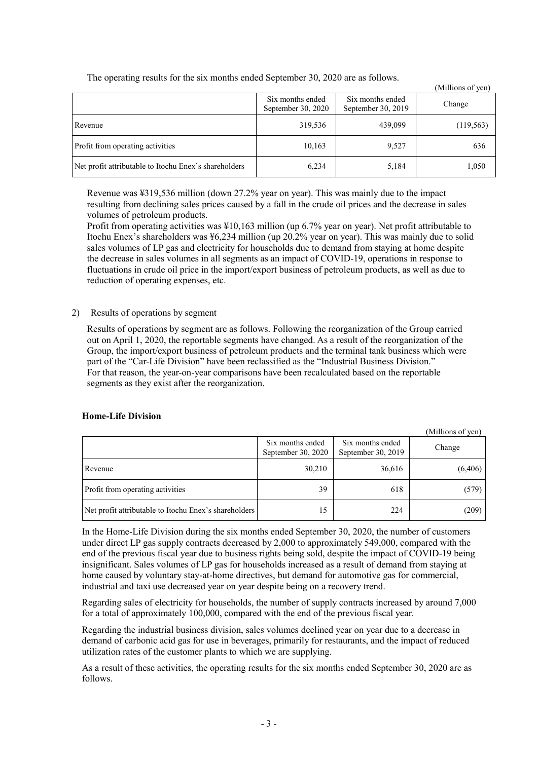|                                                       |                                        |                                        | (Millions of yen) |
|-------------------------------------------------------|----------------------------------------|----------------------------------------|-------------------|
|                                                       | Six months ended<br>September 30, 2020 | Six months ended<br>September 30, 2019 | Change            |
| Revenue                                               | 319,536                                | 439,099                                | (119, 563)        |
| Profit from operating activities                      | 10,163                                 | 9,527                                  | 636               |
| Net profit attributable to Itochu Enex's shareholders | 6,234                                  | 5,184                                  | 1,050             |

The operating results for the six months ended September 30, 2020 are as follows.

Revenue was ¥319,536 million (down 27.2% year on year). This was mainly due to the impact resulting from declining sales prices caused by a fall in the crude oil prices and the decrease in sales volumes of petroleum products.

Profit from operating activities was ¥10,163 million (up 6.7% year on year). Net profit attributable to Itochu Enex's shareholders was ¥6,234 million (up 20.2% year on year). This was mainly due to solid sales volumes of LP gas and electricity for households due to demand from staying at home despite the decrease in sales volumes in all segments as an impact of COVID-19, operations in response to fluctuations in crude oil price in the import/export business of petroleum products, as well as due to reduction of operating expenses, etc.

#### 2) Results of operations by segment

Results of operations by segment are as follows. Following the reorganization of the Group carried out on April 1, 2020, the reportable segments have changed. As a result of the reorganization of the Group, the import/export business of petroleum products and the terminal tank business which were part of the "Car-Life Division" have been reclassified as the "Industrial Business Division." For that reason, the year-on-year comparisons have been recalculated based on the reportable segments as they exist after the reorganization.

| <b>Home-Life Division</b> |  |
|---------------------------|--|
|                           |  |

(Millions of yen) Six months ended September 30, 2020 Six months ended Six months ended<br>September 30, 2019 Revenue 30,210 36,616 (6,406) Profit from operating activities 39 618 (579) Net profit attributable to Itochu Enex's shareholders 15 15 224 (209)

In the Home-Life Division during the six months ended September 30, 2020, the number of customers under direct LP gas supply contracts decreased by 2,000 to approximately 549,000, compared with the end of the previous fiscal year due to business rights being sold, despite the impact of COVID-19 being insignificant. Sales volumes of LP gas for households increased as a result of demand from staying at home caused by voluntary stay-at-home directives, but demand for automotive gas for commercial, industrial and taxi use decreased year on year despite being on a recovery trend.

Regarding sales of electricity for households, the number of supply contracts increased by around 7,000 for a total of approximately 100,000, compared with the end of the previous fiscal year.

Regarding the industrial business division, sales volumes declined year on year due to a decrease in demand of carbonic acid gas for use in beverages, primarily for restaurants, and the impact of reduced utilization rates of the customer plants to which we are supplying.

As a result of these activities, the operating results for the six months ended September 30, 2020 are as follows.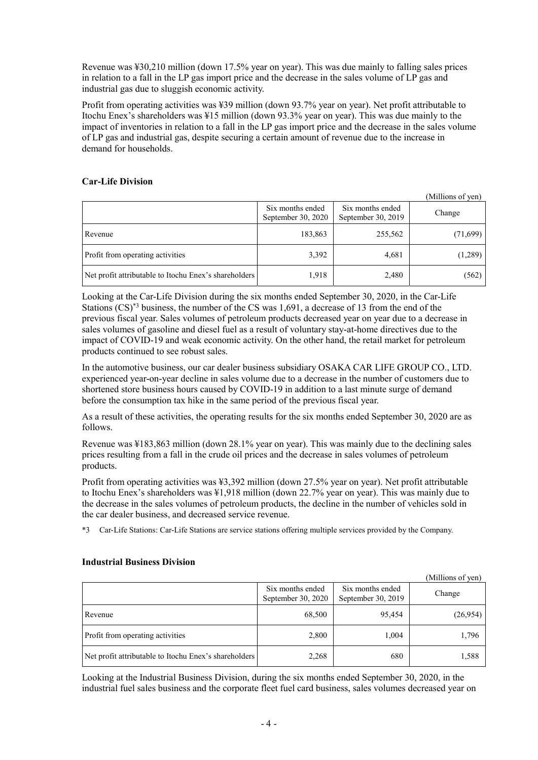Revenue was ¥30,210 million (down 17.5% year on year). This was due mainly to falling sales prices in relation to a fall in the LP gas import price and the decrease in the sales volume of LP gas and industrial gas due to sluggish economic activity.

Profit from operating activities was ¥39 million (down 93.7% year on year). Net profit attributable to Itochu Enex's shareholders was ¥15 million (down 93.3% year on year). This was due mainly to the impact of inventories in relation to a fall in the LP gas import price and the decrease in the sales volume of LP gas and industrial gas, despite securing a certain amount of revenue due to the increase in demand for households.

#### **Car-Life Division**

(Millions of yen)

|                                                       | Six months ended<br>September 30, 2020 | Six months ended<br>September 30, 2019 | Change   |
|-------------------------------------------------------|----------------------------------------|----------------------------------------|----------|
| Revenue                                               | 183,863                                | 255,562                                | (71,699) |
| Profit from operating activities                      | 3,392                                  | 4,681                                  | (1,289)  |
| Net profit attributable to Itochu Enex's shareholders | 1,918                                  | 2,480                                  | (562)    |

Looking at the Car-Life Division during the six months ended September 30, 2020, in the Car-Life Stations (CS)\*3 business, the number of the CS was 1,691, a decrease of 13 from the end of the previous fiscal year. Sales volumes of petroleum products decreased year on year due to a decrease in sales volumes of gasoline and diesel fuel as a result of voluntary stay-at-home directives due to the impact of COVID-19 and weak economic activity. On the other hand, the retail market for petroleum products continued to see robust sales.

In the automotive business, our car dealer business subsidiary OSAKA CAR LIFE GROUP CO., LTD. experienced year-on-year decline in sales volume due to a decrease in the number of customers due to shortened store business hours caused by COVID-19 in addition to a last minute surge of demand before the consumption tax hike in the same period of the previous fiscal year.

As a result of these activities, the operating results for the six months ended September 30, 2020 are as follows.

Revenue was ¥183,863 million (down 28.1% year on year). This was mainly due to the declining sales prices resulting from a fall in the crude oil prices and the decrease in sales volumes of petroleum products.

Profit from operating activities was ¥3,392 million (down 27.5% year on year). Net profit attributable to Itochu Enex's shareholders was ¥1,918 million (down 22.7% year on year). This was mainly due to the decrease in the sales volumes of petroleum products, the decline in the number of vehicles sold in the car dealer business, and decreased service revenue.

\*3 Car-Life Stations: Car-Life Stations are service stations offering multiple services provided by the Company.

| (Millions of yen)                                     |                                        |                                        |          |
|-------------------------------------------------------|----------------------------------------|----------------------------------------|----------|
|                                                       | Six months ended<br>September 30, 2020 | Six months ended<br>September 30, 2019 | Change   |
| Revenue                                               | 68,500                                 | 95,454                                 | (26,954) |
| Profit from operating activities                      | 2,800                                  | 1,004                                  | 1,796    |
| Net profit attributable to Itochu Enex's shareholders | 2,268                                  | 680                                    | 1,588    |

#### **Industrial Business Division**

Looking at the Industrial Business Division, during the six months ended September 30, 2020, in the industrial fuel sales business and the corporate fleet fuel card business, sales volumes decreased year on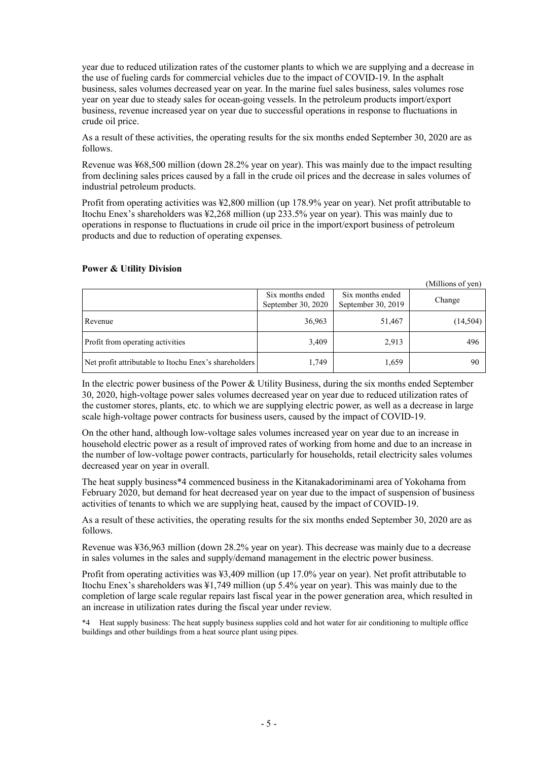year due to reduced utilization rates of the customer plants to which we are supplying and a decrease in the use of fueling cards for commercial vehicles due to the impact of COVID-19. In the asphalt business, sales volumes decreased year on year. In the marine fuel sales business, sales volumes rose year on year due to steady sales for ocean-going vessels. In the petroleum products import/export business, revenue increased year on year due to successful operations in response to fluctuations in crude oil price.

As a result of these activities, the operating results for the six months ended September 30, 2020 are as follows.

Revenue was ¥68,500 million (down 28.2% year on year). This was mainly due to the impact resulting from declining sales prices caused by a fall in the crude oil prices and the decrease in sales volumes of industrial petroleum products.

Profit from operating activities was ¥2,800 million (up 178.9% year on year). Net profit attributable to Itochu Enex's shareholders was ¥2,268 million (up 233.5% year on year). This was mainly due to operations in response to fluctuations in crude oil price in the import/export business of petroleum products and due to reduction of operating expenses.

#### **Power & Utility Division**

|                                                       |                                        |                                        | (Millions of yen) |
|-------------------------------------------------------|----------------------------------------|----------------------------------------|-------------------|
|                                                       | Six months ended<br>September 30, 2020 | Six months ended<br>September 30, 2019 | Change            |
| Revenue                                               | 36,963                                 | 51,467                                 | (14,504)          |
| Profit from operating activities                      | 3,409                                  | 2,913                                  | 496               |
| Net profit attributable to Itochu Enex's shareholders | 1,749                                  | 1,659                                  | 90                |

In the electric power business of the Power & Utility Business, during the six months ended September 30, 2020, high-voltage power sales volumes decreased year on year due to reduced utilization rates of the customer stores, plants, etc. to which we are supplying electric power, as well as a decrease in large scale high-voltage power contracts for business users, caused by the impact of COVID-19.

On the other hand, although low-voltage sales volumes increased year on year due to an increase in household electric power as a result of improved rates of working from home and due to an increase in the number of low-voltage power contracts, particularly for households, retail electricity sales volumes decreased year on year in overall.

The heat supply business\*4 commenced business in the Kitanakadoriminami area of Yokohama from February 2020, but demand for heat decreased year on year due to the impact of suspension of business activities of tenants to which we are supplying heat, caused by the impact of COVID-19.

As a result of these activities, the operating results for the six months ended September 30, 2020 are as follows.

Revenue was ¥36,963 million (down 28.2% year on year). This decrease was mainly due to a decrease in sales volumes in the sales and supply/demand management in the electric power business.

Profit from operating activities was ¥3,409 million (up 17.0% year on year). Net profit attributable to Itochu Enex's shareholders was ¥1,749 million (up 5.4% year on year). This was mainly due to the completion of large scale regular repairs last fiscal year in the power generation area, which resulted in an increase in utilization rates during the fiscal year under review.

\*4 Heat supply business: The heat supply business supplies cold and hot water for air conditioning to multiple office buildings and other buildings from a heat source plant using pipes.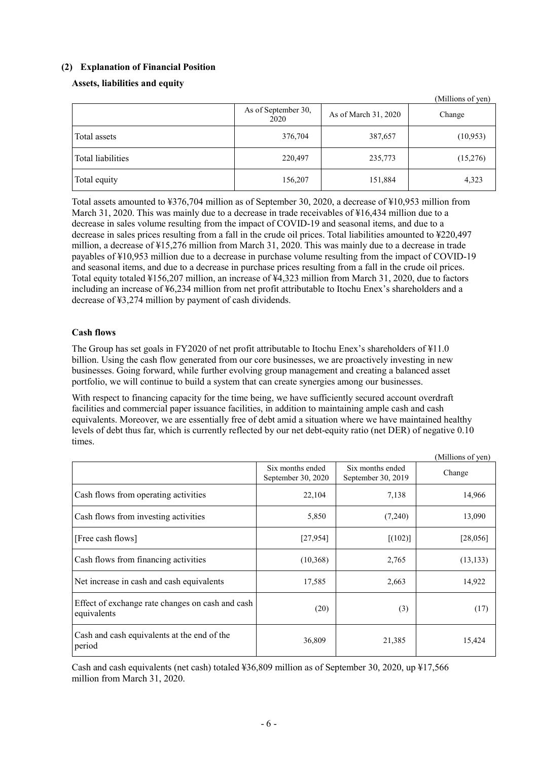#### **(2) Explanation of Financial Position**

#### **Assets, liabilities and equity**

|                   | As of September 30,<br>2020 | As of March 31, 2020 | (TVITHIOHS OF YELL)<br>Change |
|-------------------|-----------------------------|----------------------|-------------------------------|
| Total assets      | 376,704                     | 387,657              | (10,953)                      |
| Total liabilities | 220,497                     | 235,773              | (15,276)                      |
| Total equity      | 156,207                     | 151,884              | 4,323                         |

(Millions of yen)

Total assets amounted to ¥376,704 million as of September 30, 2020, a decrease of ¥10,953 million from March 31, 2020. This was mainly due to a decrease in trade receivables of ¥16,434 million due to a decrease in sales volume resulting from the impact of COVID-19 and seasonal items, and due to a decrease in sales prices resulting from a fall in the crude oil prices. Total liabilities amounted to ¥220,497 million, a decrease of ¥15,276 million from March 31, 2020. This was mainly due to a decrease in trade payables of ¥10,953 million due to a decrease in purchase volume resulting from the impact of COVID-19 and seasonal items, and due to a decrease in purchase prices resulting from a fall in the crude oil prices. Total equity totaled ¥156,207 million, an increase of ¥4,323 million from March 31, 2020, due to factors including an increase of ¥6,234 million from net profit attributable to Itochu Enex's shareholders and a decrease of ¥3,274 million by payment of cash dividends.

#### **Cash flows**

The Group has set goals in FY2020 of net profit attributable to Itochu Enex's shareholders of ¥11.0 billion. Using the cash flow generated from our core businesses, we are proactively investing in new businesses. Going forward, while further evolving group management and creating a balanced asset portfolio, we will continue to build a system that can create synergies among our businesses.

With respect to financing capacity for the time being, we have sufficiently secured account overdraft facilities and commercial paper issuance facilities, in addition to maintaining ample cash and cash equivalents. Moreover, we are essentially free of debt amid a situation where we have maintained healthy levels of debt thus far, which is currently reflected by our net debt-equity ratio (net DER) of negative 0.10 times.

|                                                                 |                                        |                                        | (Millions of yen) |
|-----------------------------------------------------------------|----------------------------------------|----------------------------------------|-------------------|
|                                                                 | Six months ended<br>September 30, 2020 | Six months ended<br>September 30, 2019 | Change            |
| Cash flows from operating activities                            | 22,104                                 | 7,138                                  | 14,966            |
| Cash flows from investing activities                            | 5,850                                  | (7,240)                                | 13,090            |
| [Free cash flows]                                               | [27,954]                               | [(102)]                                | [28,056]          |
| Cash flows from financing activities                            | (10,368)                               | 2,765                                  | (13, 133)         |
| Net increase in cash and cash equivalents                       | 17,585                                 | 2,663                                  | 14,922            |
| Effect of exchange rate changes on cash and cash<br>equivalents | (20)                                   | (3)                                    | (17)              |
| Cash and cash equivalents at the end of the<br>period           | 36,809                                 | 21,385                                 | 15,424            |

Cash and cash equivalents (net cash) totaled ¥36,809 million as of September 30, 2020, up ¥17,566 million from March 31, 2020.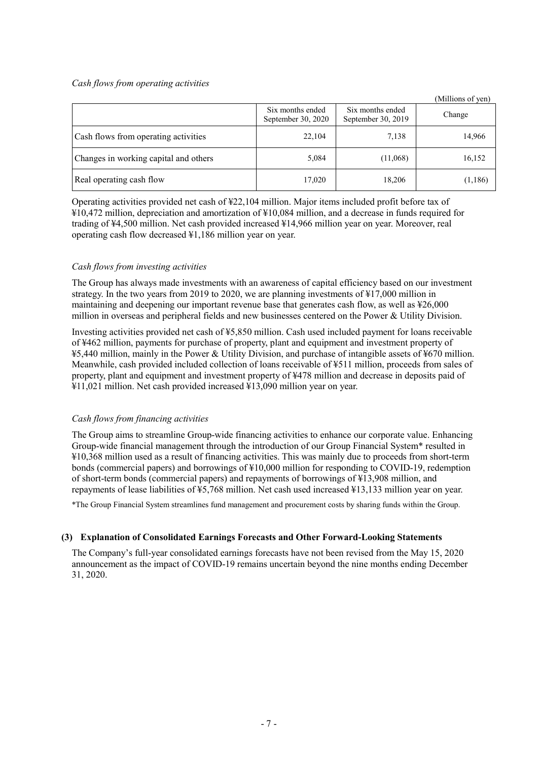#### *Cash flows from operating activities*

| (Millions of yen)                     |                                        |                                        |         |
|---------------------------------------|----------------------------------------|----------------------------------------|---------|
|                                       | Six months ended<br>September 30, 2020 | Six months ended<br>September 30, 2019 | Change  |
| Cash flows from operating activities  | 22,104                                 | 7,138                                  | 14,966  |
| Changes in working capital and others | 5,084                                  | (11,068)                               | 16,152  |
| Real operating cash flow              | 17,020                                 | 18,206                                 | (1,186) |

Operating activities provided net cash of ¥22,104 million. Major items included profit before tax of ¥10,472 million, depreciation and amortization of ¥10,084 million, and a decrease in funds required for trading of ¥4,500 million. Net cash provided increased ¥14,966 million year on year. Moreover, real operating cash flow decreased ¥1,186 million year on year.

#### *Cash flows from investing activities*

The Group has always made investments with an awareness of capital efficiency based on our investment strategy. In the two years from 2019 to 2020, we are planning investments of ¥17,000 million in maintaining and deepening our important revenue base that generates cash flow, as well as ¥26,000 million in overseas and peripheral fields and new businesses centered on the Power & Utility Division.

Investing activities provided net cash of ¥5,850 million. Cash used included payment for loans receivable of ¥462 million, payments for purchase of property, plant and equipment and investment property of ¥5,440 million, mainly in the Power & Utility Division, and purchase of intangible assets of ¥670 million. Meanwhile, cash provided included collection of loans receivable of ¥511 million, proceeds from sales of property, plant and equipment and investment property of ¥478 million and decrease in deposits paid of ¥11,021 million. Net cash provided increased ¥13,090 million year on year.

#### *Cash flows from financing activities*

The Group aims to streamline Group-wide financing activities to enhance our corporate value. Enhancing Group-wide financial management through the introduction of our Group Financial System\* resulted in ¥10,368 million used as a result of financing activities. This was mainly due to proceeds from short-term bonds (commercial papers) and borrowings of ¥10,000 million for responding to COVID-19, redemption of short-term bonds (commercial papers) and repayments of borrowings of ¥13,908 million, and repayments of lease liabilities of ¥5,768 million. Net cash used increased ¥13,133 million year on year.

\*The Group Financial System streamlines fund management and procurement costs by sharing funds within the Group.

#### **(3) Explanation of Consolidated Earnings Forecasts and Other Forward-Looking Statements**

The Company's full-year consolidated earnings forecasts have not been revised from the May 15, 2020 announcement as the impact of COVID-19 remains uncertain beyond the nine months ending December 31, 2020.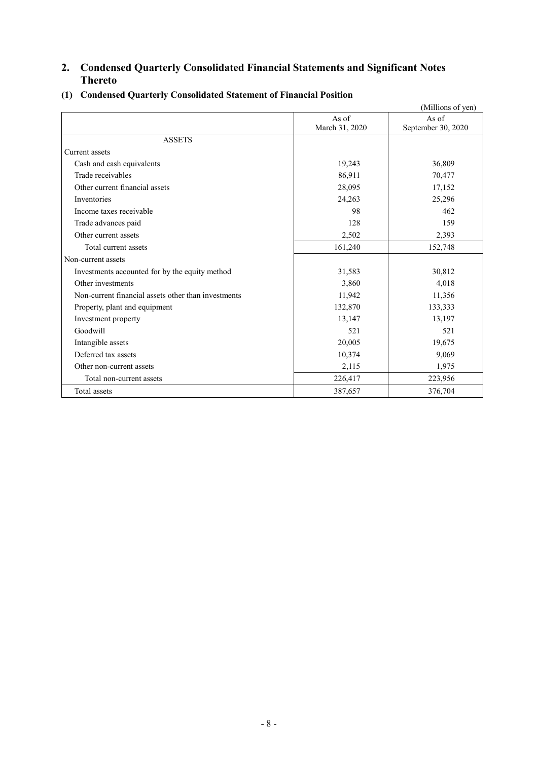# **2. Condensed Quarterly Consolidated Financial Statements and Significant Notes Thereto**

|                                                     |                         | (Millions of yen)           |
|-----------------------------------------------------|-------------------------|-----------------------------|
|                                                     | As of<br>March 31, 2020 | As of<br>September 30, 2020 |
| <b>ASSETS</b>                                       |                         |                             |
| Current assets                                      |                         |                             |
| Cash and cash equivalents                           | 19,243                  | 36,809                      |
| Trade receivables                                   | 86,911                  | 70,477                      |
| Other current financial assets                      | 28,095                  | 17,152                      |
| Inventories                                         | 24,263                  | 25,296                      |
| Income taxes receivable                             | 98                      | 462                         |
| Trade advances paid                                 | 128                     | 159                         |
| Other current assets                                | 2,502                   | 2,393                       |
| Total current assets                                | 161,240                 | 152,748                     |
| Non-current assets                                  |                         |                             |
| Investments accounted for by the equity method      | 31,583                  | 30,812                      |
| Other investments                                   | 3,860                   | 4,018                       |
| Non-current financial assets other than investments | 11,942                  | 11,356                      |
| Property, plant and equipment                       | 132,870                 | 133,333                     |
| Investment property                                 | 13,147                  | 13,197                      |
| Goodwill                                            | 521                     | 521                         |
| Intangible assets                                   | 20,005                  | 19,675                      |
| Deferred tax assets                                 | 10,374                  | 9,069                       |
| Other non-current assets                            | 2,115                   | 1,975                       |
| Total non-current assets                            | 226,417                 | 223,956                     |
| Total assets                                        | 387,657                 | 376,704                     |

### **(1) Condensed Quarterly Consolidated Statement of Financial Position**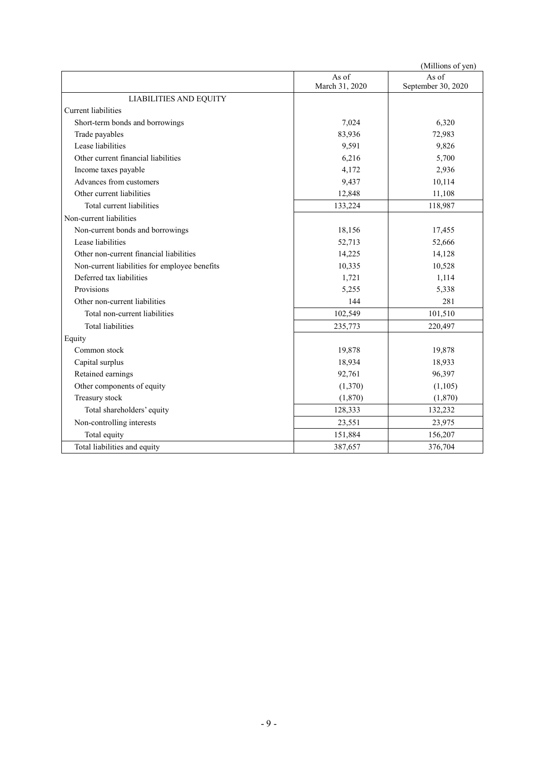|                                               |                         | (Millions of yen)           |
|-----------------------------------------------|-------------------------|-----------------------------|
|                                               | As of<br>March 31, 2020 | As of<br>September 30, 2020 |
| <b>LIABILITIES AND EQUITY</b>                 |                         |                             |
| <b>Current liabilities</b>                    |                         |                             |
| Short-term bonds and borrowings               | 7,024                   | 6,320                       |
| Trade payables                                | 83,936                  | 72,983                      |
| Lease liabilities                             | 9,591                   | 9,826                       |
| Other current financial liabilities           | 6,216                   | 5,700                       |
| Income taxes payable                          | 4,172                   | 2,936                       |
| Advances from customers                       | 9,437                   | 10,114                      |
| Other current liabilities                     | 12,848                  | 11,108                      |
| Total current liabilities                     | 133,224                 | 118,987                     |
| Non-current liabilities                       |                         |                             |
| Non-current bonds and borrowings              | 18,156                  | 17,455                      |
| Lease liabilities                             | 52,713                  | 52,666                      |
| Other non-current financial liabilities       | 14,225                  | 14,128                      |
| Non-current liabilities for employee benefits | 10,335                  | 10,528                      |
| Deferred tax liabilities                      | 1,721                   | 1,114                       |
| Provisions                                    | 5,255                   | 5,338                       |
| Other non-current liabilities                 | 144                     | 281                         |
| Total non-current liabilities                 | 102,549                 | 101,510                     |
| <b>Total liabilities</b>                      | 235,773                 | 220,497                     |
| Equity                                        |                         |                             |
| Common stock                                  | 19,878                  | 19,878                      |
| Capital surplus                               | 18,934                  | 18,933                      |
| Retained earnings                             | 92,761                  | 96,397                      |
| Other components of equity                    | (1,370)                 | (1,105)                     |
| Treasury stock                                | (1,870)                 | (1,870)                     |
| Total shareholders' equity                    | 128,333                 | 132,232                     |
| Non-controlling interests                     | 23,551                  | 23,975                      |
| Total equity                                  | 151,884                 | 156,207                     |
| Total liabilities and equity                  | 387,657                 | 376,704                     |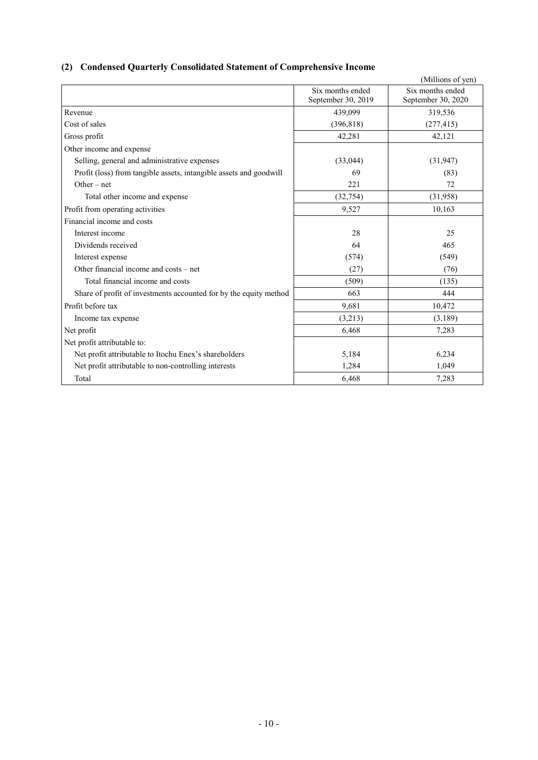# **(2) Condensed Quarterly Consolidated Statement of Comprehensive Income**

|                                                                    |                    | (Millions of yen)  |
|--------------------------------------------------------------------|--------------------|--------------------|
|                                                                    | Six months ended   | Six months ended   |
|                                                                    | September 30, 2019 | September 30, 2020 |
| Revenue                                                            | 439,099            | 319,536            |
| Cost of sales                                                      | (396, 818)         | (277, 415)         |
| Gross profit                                                       | 42,281             | 42,121             |
| Other income and expense                                           |                    |                    |
| Selling, general and administrative expenses                       | (33,044)           | (31, 947)          |
| Profit (loss) from tangible assets, intangible assets and goodwill | 69                 | (83)               |
| $Other-net$                                                        | 221                | 72                 |
| Total other income and expense                                     | (32, 754)          | (31,958)           |
| Profit from operating activities                                   | 9,527              | 10,163             |
| Financial income and costs                                         |                    |                    |
| Interest income                                                    | 28                 | 25                 |
| Dividends received                                                 | 64                 | 465                |
| Interest expense                                                   | (574)              | (549)              |
| Other financial income and costs – net                             | (27)               | (76)               |
| Total financial income and costs                                   | (509)              | (135)              |
| Share of profit of investments accounted for by the equity method  | 663                | 444                |
| Profit before tax                                                  | 9,681              | 10,472             |
| Income tax expense                                                 | (3,213)            | (3,189)            |
| Net profit                                                         | 6,468              | 7,283              |
| Net profit attributable to:                                        |                    |                    |
| Net profit attributable to Itochu Enex's shareholders              | 5,184              | 6,234              |
| Net profit attributable to non-controlling interests               | 1,284              | 1,049              |
| Total                                                              | 6,468              | 7,283              |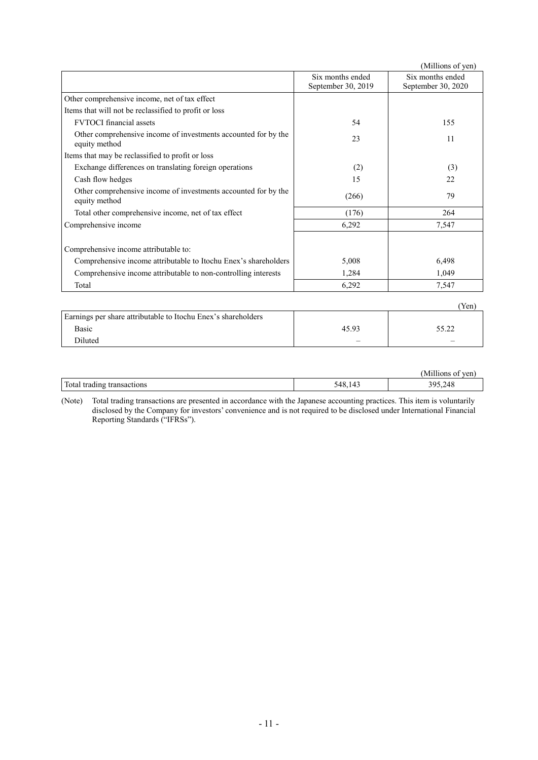|                                                                                 |                                        | (Millions of yen)                      |
|---------------------------------------------------------------------------------|----------------------------------------|----------------------------------------|
|                                                                                 | Six months ended<br>September 30, 2019 | Six months ended<br>September 30, 2020 |
| Other comprehensive income, net of tax effect                                   |                                        |                                        |
| Items that will not be reclassified to profit or loss                           |                                        |                                        |
| <b>FVTOCI</b> financial assets                                                  | 54                                     | 155                                    |
| Other comprehensive income of investments accounted for by the<br>equity method | 23                                     | 11                                     |
| Items that may be reclassified to profit or loss                                |                                        |                                        |
| Exchange differences on translating foreign operations                          | (2)                                    | (3)                                    |
| Cash flow hedges                                                                | 15                                     | 22                                     |
| Other comprehensive income of investments accounted for by the<br>equity method | (266)                                  | 79                                     |
| Total other comprehensive income, net of tax effect                             | (176)                                  | 264                                    |
| Comprehensive income                                                            | 6,292                                  | 7,547                                  |
| Comprehensive income attributable to:                                           |                                        |                                        |
| Comprehensive income attributable to Itochu Enex's shareholders                 | 5,008                                  | 6,498                                  |
| Comprehensive income attributable to non-controlling interests                  | 1,284                                  | 1,049                                  |
| Total                                                                           | 6,292                                  | 7,547                                  |
|                                                                                 |                                        | $(V_{\alpha n})$                       |

|                                                               |       | ren   |
|---------------------------------------------------------------|-------|-------|
| Earnings per share attributable to Itochu Enex's shareholders |       |       |
| <b>Basic</b>                                                  | 45.93 | 5 O C |
| Diluted                                                       | –     |       |

|                                  |                 | <br>ven<br>(Millions<br>. ot |
|----------------------------------|-----------------|------------------------------|
| Total.<br>l trading transactions | $\prime$<br>548 | 395,248                      |

(Note) Total trading transactions are presented in accordance with the Japanese accounting practices. This item is voluntarily disclosed by the Company for investors' convenience and is not required to be disclosed under International Financial Reporting Standards ("IFRSs").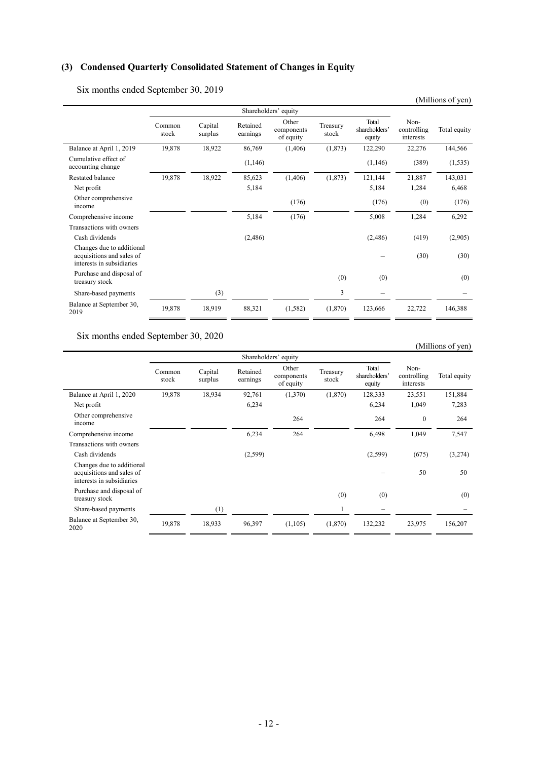# **(3) Condensed Quarterly Consolidated Statement of Changes in Equity**

Six months ended September 30, 2019

| $\mathcal{L}$ and $\mathcal{L}$ and $\mathcal{L}$ and $\mathcal{L}$ are supported by $\mathcal{L}$ and $\mathcal{L}$ |                 |                      |                      |                                  |                   |                                  |                                  | (Millions of yen) |
|----------------------------------------------------------------------------------------------------------------------|-----------------|----------------------|----------------------|----------------------------------|-------------------|----------------------------------|----------------------------------|-------------------|
|                                                                                                                      |                 | Shareholders' equity |                      |                                  |                   |                                  |                                  |                   |
|                                                                                                                      | Common<br>stock | Capital<br>surplus   | Retained<br>earnings | Other<br>components<br>of equity | Treasury<br>stock | Total<br>shareholders'<br>equity | Non-<br>controlling<br>interests | Total equity      |
| Balance at April 1, 2019                                                                                             | 19,878          | 18,922               | 86,769               | (1,406)                          | (1,873)           | 122,290                          | 22,276                           | 144,566           |
| Cumulative effect of<br>accounting change                                                                            |                 |                      | (1,146)              |                                  |                   | (1,146)                          | (389)                            | (1, 535)          |
| Restated balance                                                                                                     | 19,878          | 18,922               | 85,623               | (1, 406)                         | (1,873)           | 121,144                          | 21,887                           | 143,031           |
| Net profit                                                                                                           |                 |                      | 5,184                |                                  |                   | 5,184                            | 1,284                            | 6,468             |
| Other comprehensive<br>income                                                                                        |                 |                      |                      | (176)                            |                   | (176)                            | (0)                              | (176)             |
| Comprehensive income                                                                                                 |                 |                      | 5,184                | (176)                            |                   | 5,008                            | 1,284                            | 6,292             |
| Transactions with owners                                                                                             |                 |                      |                      |                                  |                   |                                  |                                  |                   |
| Cash dividends                                                                                                       |                 |                      | (2,486)              |                                  |                   | (2,486)                          | (419)                            | (2,905)           |
| Changes due to additional<br>acquisitions and sales of<br>interests in subsidiaries                                  |                 |                      |                      |                                  |                   |                                  | (30)                             | (30)              |
| Purchase and disposal of<br>treasury stock                                                                           |                 |                      |                      |                                  | (0)               | (0)                              |                                  | (0)               |
| Share-based payments                                                                                                 |                 | (3)                  |                      |                                  | 3                 |                                  |                                  |                   |
| Balance at September 30,<br>2019                                                                                     | 19,878          | 18,919               | 88,321               | (1,582)                          | (1,870)           | 123,666                          | 22,722                           | 146,388           |

Six months ended September 30, 2020

#### (Millions of yen)

|                                                                                     | Shareholders' equity |                    |                      |                                  |                   |                                  |                                  |              |
|-------------------------------------------------------------------------------------|----------------------|--------------------|----------------------|----------------------------------|-------------------|----------------------------------|----------------------------------|--------------|
|                                                                                     | Common<br>stock      | Capital<br>surplus | Retained<br>earnings | Other<br>components<br>of equity | Treasury<br>stock | Total<br>shareholders'<br>equity | Non-<br>controlling<br>interests | Total equity |
| Balance at April 1, 2020                                                            | 19,878               | 18,934             | 92,761               | (1,370)                          | (1,870)           | 128,333                          | 23,551                           | 151,884      |
| Net profit                                                                          |                      |                    | 6,234                |                                  |                   | 6,234                            | 1,049                            | 7,283        |
| Other comprehensive<br>income                                                       |                      |                    |                      | 264                              |                   | 264                              | $\theta$                         | 264          |
| Comprehensive income                                                                |                      |                    | 6,234                | 264                              |                   | 6,498                            | 1,049                            | 7,547        |
| Transactions with owners                                                            |                      |                    |                      |                                  |                   |                                  |                                  |              |
| Cash dividends                                                                      |                      |                    | (2,599)              |                                  |                   | (2,599)                          | (675)                            | (3,274)      |
| Changes due to additional<br>acquisitions and sales of<br>interests in subsidiaries |                      |                    |                      |                                  |                   |                                  | 50                               | 50           |
| Purchase and disposal of<br>treasury stock                                          |                      |                    |                      |                                  | (0)               | (0)                              |                                  | (0)          |
| Share-based payments                                                                |                      | (1)                |                      |                                  |                   | $\overline{\phantom{0}}$         |                                  |              |
| Balance at September 30,<br>2020                                                    | 19,878               | 18,933             | 96,397               | (1,105)                          | (1,870)           | 132,232                          | 23,975                           | 156,207      |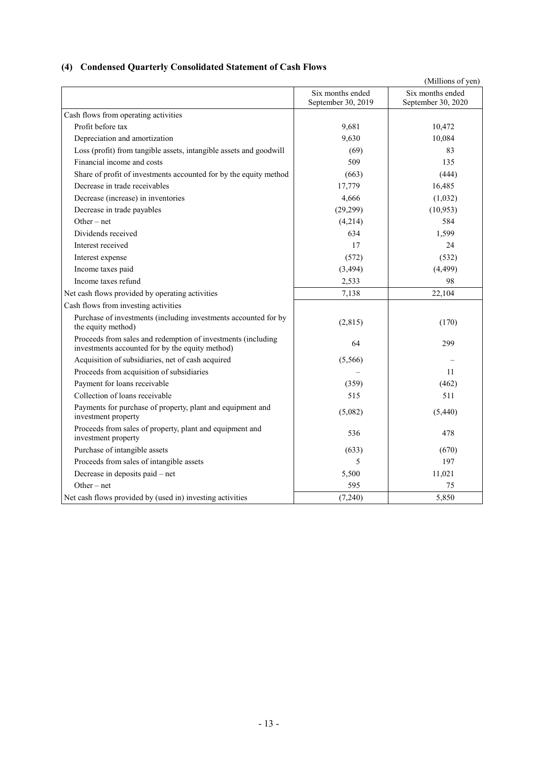# **(4) Condensed Quarterly Consolidated Statement of Cash Flows**

|                                                                                                                 |                                        | (Millions of yen)                      |
|-----------------------------------------------------------------------------------------------------------------|----------------------------------------|----------------------------------------|
|                                                                                                                 | Six months ended<br>September 30, 2019 | Six months ended<br>September 30, 2020 |
| Cash flows from operating activities                                                                            |                                        |                                        |
| Profit before tax                                                                                               | 9,681                                  | 10,472                                 |
| Depreciation and amortization                                                                                   | 9,630                                  | 10,084                                 |
| Loss (profit) from tangible assets, intangible assets and goodwill                                              | (69)                                   | 83                                     |
| Financial income and costs                                                                                      | 509                                    | 135                                    |
| Share of profit of investments accounted for by the equity method                                               | (663)                                  | (444)                                  |
| Decrease in trade receivables                                                                                   | 17,779                                 | 16,485                                 |
| Decrease (increase) in inventories                                                                              | 4,666                                  | (1,032)                                |
| Decrease in trade payables                                                                                      | (29, 299)                              | (10, 953)                              |
| Other $-$ net                                                                                                   | (4,214)                                | 584                                    |
| Dividends received                                                                                              | 634                                    | 1,599                                  |
| Interest received                                                                                               | 17                                     | 24                                     |
| Interest expense                                                                                                | (572)                                  | (532)                                  |
| Income taxes paid                                                                                               | (3, 494)                               | (4, 499)                               |
| Income taxes refund                                                                                             | 2,533                                  | 98                                     |
| Net cash flows provided by operating activities                                                                 | 7,138                                  | 22,104                                 |
| Cash flows from investing activities                                                                            |                                        |                                        |
| Purchase of investments (including investments accounted for by<br>the equity method)                           | (2,815)                                | (170)                                  |
| Proceeds from sales and redemption of investments (including<br>investments accounted for by the equity method) | 64                                     | 299                                    |
| Acquisition of subsidiaries, net of cash acquired                                                               | (5,566)                                |                                        |
| Proceeds from acquisition of subsidiaries                                                                       |                                        | 11                                     |
| Payment for loans receivable                                                                                    | (359)                                  | (462)                                  |
| Collection of loans receivable                                                                                  | 515                                    | 511                                    |
| Payments for purchase of property, plant and equipment and<br>investment property                               | (5,082)                                | (5,440)                                |
| Proceeds from sales of property, plant and equipment and<br>investment property                                 | 536                                    | 478                                    |
| Purchase of intangible assets                                                                                   | (633)                                  | (670)                                  |
| Proceeds from sales of intangible assets                                                                        | 5                                      | 197                                    |
| Decrease in deposits paid - net                                                                                 | 5,500                                  | 11,021                                 |
| Other $-$ net                                                                                                   | 595                                    | 75                                     |
| Net cash flows provided by (used in) investing activities                                                       | (7,240)                                | 5,850                                  |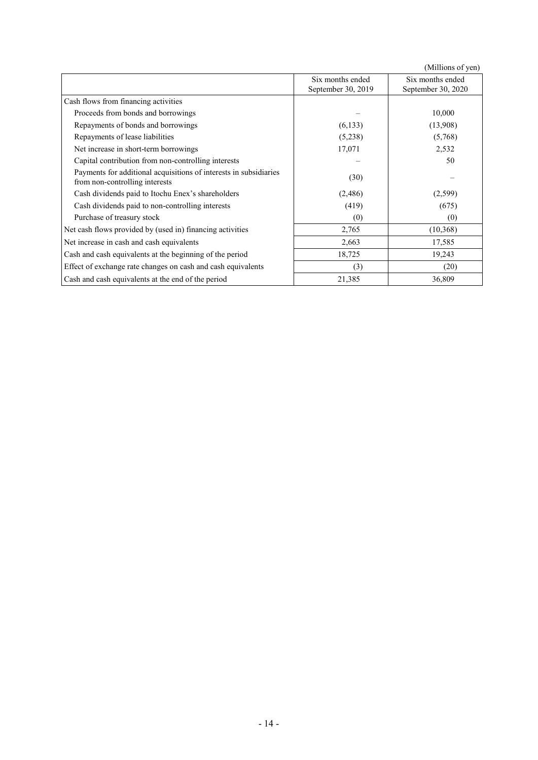(Millions of yen)  $\overline{\mathbf{S}}$  months ended  $\overline{\phantom{a}}$ Six months ended

|                                                                                                     | Six months ended<br>September 30, 2019 | Six months ended<br>September 30, 2020 |
|-----------------------------------------------------------------------------------------------------|----------------------------------------|----------------------------------------|
| Cash flows from financing activities                                                                |                                        |                                        |
| Proceeds from bonds and borrowings                                                                  |                                        | 10,000                                 |
| Repayments of bonds and borrowings                                                                  | (6, 133)                               | (13,908)                               |
| Repayments of lease liabilities                                                                     | (5,238)                                | (5,768)                                |
| Net increase in short-term borrowings                                                               | 17,071                                 | 2,532                                  |
| Capital contribution from non-controlling interests                                                 |                                        | 50                                     |
| Payments for additional acquisitions of interests in subsidiaries<br>from non-controlling interests | (30)                                   |                                        |
| Cash dividends paid to Itochu Enex's shareholders                                                   | (2,486)                                | (2,599)                                |
| Cash dividends paid to non-controlling interests                                                    | (419)                                  | (675)                                  |
| Purchase of treasury stock                                                                          | (0)                                    | (0)                                    |
| Net cash flows provided by (used in) financing activities                                           | 2,765                                  | (10, 368)                              |
| Net increase in cash and cash equivalents                                                           | 2,663                                  | 17,585                                 |
| Cash and cash equivalents at the beginning of the period                                            | 18,725                                 | 19,243                                 |
| Effect of exchange rate changes on cash and cash equivalents                                        | (3)                                    | (20)                                   |
| Cash and cash equivalents at the end of the period                                                  | 21,385                                 | 36,809                                 |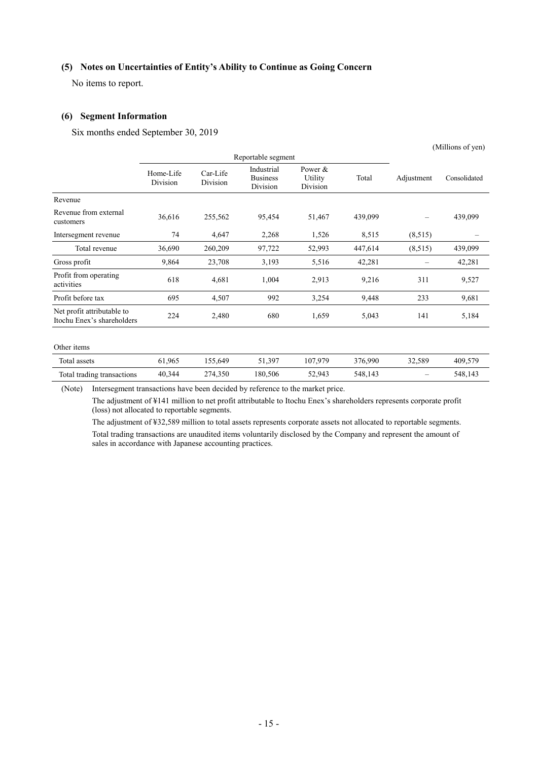#### **(5) Notes on Uncertainties of Entity's Ability to Continue as Going Concern**

No items to report.

#### **(6) Segment Information**

Six months ended September 30, 2019

|                                                          |                       |                      |                                           |                                   |         | (Millions of yen) |              |  |
|----------------------------------------------------------|-----------------------|----------------------|-------------------------------------------|-----------------------------------|---------|-------------------|--------------|--|
|                                                          |                       | Reportable segment   |                                           |                                   |         |                   |              |  |
|                                                          | Home-Life<br>Division | Car-Life<br>Division | Industrial<br><b>Business</b><br>Division | Power $\&$<br>Utility<br>Division | Total   | Adjustment        | Consolidated |  |
| Revenue                                                  |                       |                      |                                           |                                   |         |                   |              |  |
| Revenue from external<br>customers                       | 36,616                | 255,562              | 95,454                                    | 51,467                            | 439,099 | —                 | 439,099      |  |
| Intersegment revenue                                     | 74                    | 4,647                | 2,268                                     | 1,526                             | 8,515   | (8,515)           |              |  |
| Total revenue                                            | 36,690                | 260,209              | 97,722                                    | 52,993                            | 447,614 | (8,515)           | 439,099      |  |
| Gross profit                                             | 9,864                 | 23,708               | 3,193                                     | 5,516                             | 42,281  |                   | 42,281       |  |
| Profit from operating<br>activities                      | 618                   | 4,681                | 1,004                                     | 2,913                             | 9,216   | 311               | 9,527        |  |
| Profit before tax                                        | 695                   | 4,507                | 992                                       | 3,254                             | 9,448   | 233               | 9,681        |  |
| Net profit attributable to<br>Itochu Enex's shareholders | 224                   | 2,480                | 680                                       | 1,659                             | 5,043   | 141               | 5,184        |  |
|                                                          |                       |                      |                                           |                                   |         |                   |              |  |

#### Other items

| Total assets               | 61.965 | 55.649ء | 51,397  | 107,979 | 376,990 | 32.589                   | 409,579 |
|----------------------------|--------|---------|---------|---------|---------|--------------------------|---------|
| Total trading transactions | 40.344 | 274,350 | 180,506 | 52,943  | 548,143 | $\overline{\phantom{m}}$ | 548,143 |

(Note) Intersegment transactions have been decided by reference to the market price.

The adjustment of ¥141 million to net profit attributable to Itochu Enex's shareholders represents corporate profit (loss) not allocated to reportable segments.

The adjustment of ¥32,589 million to total assets represents corporate assets not allocated to reportable segments. Total trading transactions are unaudited items voluntarily disclosed by the Company and represent the amount of sales in accordance with Japanese accounting practices.